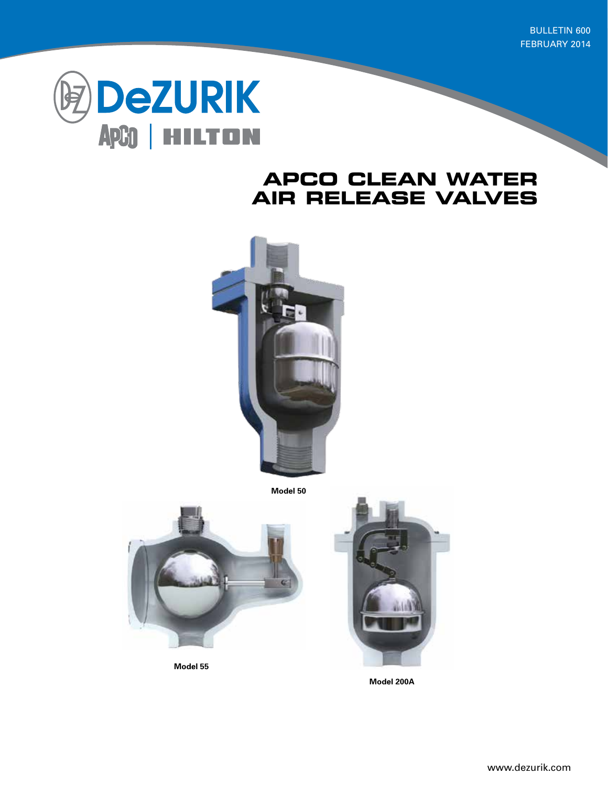**BULLETIN 600** FEBRUARY 2014



## **APCO CLEAN WATER AIR RELEASE VALVES**



**Model 50**



**Model 55**

**Model 200A**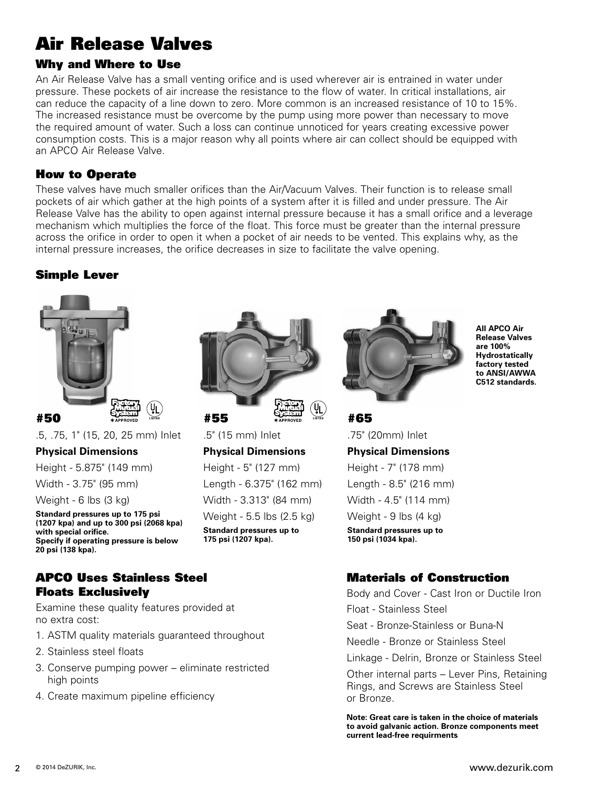# Air Release Valves

## Why and Where to Use

An Air Release Valve has a small venting orifice and is used wherever air is entrained in water under pressure. These pockets of air increase the resistance to the flow of water. In critical installations, air can reduce the capacity of a line down to zero. More common is an increased resistance of 10 to 15%. The increased resistance must be overcome by the pump using more power than necessary to move the required amount of water. Such a loss can continue unnoticed for years creating excessive power consumption costs. This is a major reason why all points where air can collect should be equipped with an APCO Air Release Valve.

#### How to Operate

These valves have much smaller orifices than the Air/Vacuum Valves. Their function is to release small pockets of air which gather at the high points of a system after it is filled and under pressure. The Air Release Valve has the ability to open against internal pressure because it has a small orifice and a leverage mechanism which multiplies the force of the float. This force must be greater than the internal pressure across the orifice in order to open it when a pocket of air needs to be vented. This explains why, as the internal pressure increases, the orifice decreases in size to facilitate the valve opening.

### Simple Lever



.5, .75, 1" (15, 20, 25 mm) Inlet

**Physical Dimensions**

Height - 5.875" (149 mm)

Width - 3.75" (95 mm)

Weight - 6 lbs (3 kg)

**Standard pressures up to 175 psi (1207 kpa) and up to 300 psi (2068 kpa) with special orifice. Specify if operating pressure is below 20 psi (138 kpa).**

#### APCO Uses Stainless Steel Floats Exclusively

Examine these quality features provided at no extra cost:

- 1. ASTM quality materials guaranteed throughout
- 2. Stainless steel floats
- 3. Conserve pumping power eliminate restricted high points
- 4. Create maximum pipeline efficiency



.5" (15 mm) Inlet

**Physical Dimensions** Height - 5" (127 mm) Length - 6.375" (162 mm) Width - 3.313" (84 mm) Weight - 5.5 lbs (2.5 kg) **Standard pressures up to 175 psi (1207 kpa).**



**All APCO Air Release Valves are 100% Hydrostatically factory tested to ANSI/AWWA C512 standards.**

#65

.75" (20mm) Inlet **Physical Dimensions** Height - 7" (178 mm) Length - 8.5" (216 mm) Width - 4.5" (114 mm) Weight - 9 lbs (4 kg) **Standard pressures up to 150 psi (1034 kpa).**

### Materials of Construction

Body and Cover - Cast Iron or Ductile Iron

Float - Stainless Steel

Seat - Bronze-Stainless or Buna-N

Needle - Bronze or Stainless Steel

Linkage - Delrin, Bronze or Stainless Steel

Other internal parts – Lever Pins, Retaining Rings, and Screws are Stainless Steel or Bronze.

**Note: Great care is taken in the choice of materials to avoid galvanic action. Bronze components meet current lead-free requirments**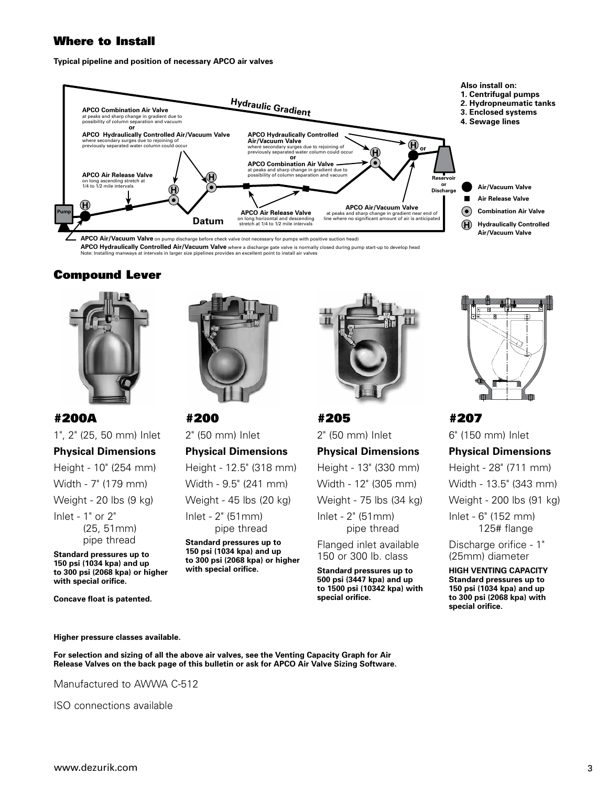#### Where to Install

**Typical pipeline and position of necessary APCO air valves**



**APCO Air/Vacuum Valve** on pump discharge before check valve (not necessary for pumps with positive suction head) **APCO Hydraulically Controlled Air/Vacuum Valve** where a discharge gate valve is normally closed during pump start-up to develop head

Note: Installing manways at intervals in larger size pipelines provides an excellent point to install air valves

### Compound Lever





#200A 1", 2" (25, 50 mm) Inlet **Physical Dimensions** Height - 10" (254 mm) Width - 7" (179 mm) Weight - 20 lbs (9 kg) Inlet - 1" or 2" (25, 51mm) pipe thread

**Standard pressures up to 150 psi (1034 kpa) and up to 300 psi (2068 kpa) or higher with special orifice.**

**Concave float is patented.**

2" (50 mm) Inlet **Physical Dimensions** Height - 12.5" (318 mm) Width - 9.5" (241 mm) Weight - 45 lbs (20 kg)

Inlet - 2" (51mm) pipe thread

**Standard pressures up to 150 psi (1034 kpa) and up to 300 psi (2068 kpa) or higher with special orifice.**



#205 2" (50 mm) Inlet **Physical Dimensions** Height - 13" (330 mm) Width - 12" (305 mm) Weight - 75 lbs (34 kg) Inlet - 2" (51mm) pipe thread

Flanged inlet available 150 or 300 lb. class

**Standard pressures up to 500 psi (3447 kpa) and up to 1500 psi (10342 kpa) with special orifice.**



#207 6" (150 mm) Inlet

**Physical Dimensions** Height - 28" (711 mm) Width - 13.5" (343 mm) Weight - 200 lbs (91 kg) Inlet - 6" (152 mm) 125# flange Discharge orifice - 1" (25mm) diameter

**HIGH VENTING CAPACITY Standard pressures up to 150 psi (1034 kpa) and up to 300 psi (2068 kpa) with special orifice.**

#### **Higher pressure classes available.**

**For selection and sizing of all the above air valves, see the Venting Capacity Graph for Air Release Valves on the back page of this bulletin or ask for APCO Air Valve Sizing Software.**

Manufactured to AWWA C-512

ISO connections available